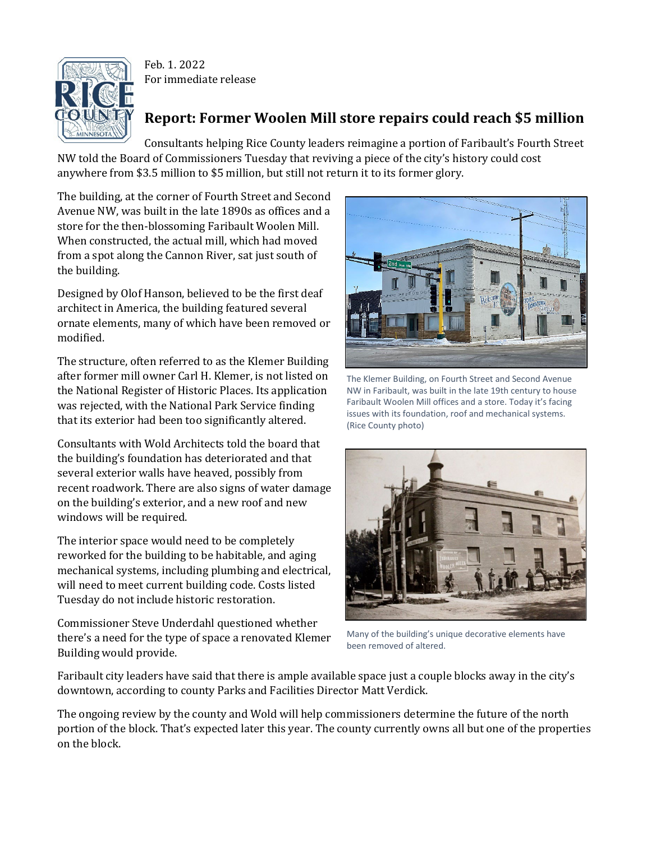

Feb. 1. 2022 For immediate release

## **Report: Former Woolen Mill store repairs could reach \$5 million**

Consultants helping Rice County leaders reimagine a portion of Faribault's Fourth Street NW told the Board of Commissioners Tuesday that reviving a piece of the city's history could cost anywhere from \$3.5 million to \$5 million, but still not return it to its former glory.

The building, at the corner of Fourth Street and Second Avenue NW, was built in the late 1890s as offices and a store for the then-blossoming Faribault Woolen Mill. When constructed, the actual mill, which had moved from a spot along the Cannon River, sat just south of the building.

Designed by Olof Hanson, believed to be the first deaf architect in America, the building featured several ornate elements, many of which have been removed or modified.

The structure, often referred to as the Klemer Building after former mill owner Carl H. Klemer, is not listed on the National Register of Historic Places. Its application was rejected, with the National Park Service finding that its exterior had been too significantly altered.

Consultants with Wold Architects told the board that the building's foundation has deteriorated and that several exterior walls have heaved, possibly from recent roadwork. There are also signs of water damage on the building's exterior, and a new roof and new windows will be required.

The interior space would need to be completely reworked for the building to be habitable, and aging mechanical systems, including plumbing and electrical, will need to meet current building code. Costs listed Tuesday do not include historic restoration.

Commissioner Steve Underdahl questioned whether there's a need for the type of space a renovated Klemer Building would provide.



The Klemer Building, on Fourth Street and Second Avenue NW in Faribault, was built in the late 19th century to house Faribault Woolen Mill offices and a store. Today it's facing issues with its foundation, roof and mechanical systems. (Rice County photo)



Many of the building's unique decorative elements have been removed of altered.

Faribault city leaders have said that there is ample available space just a couple blocks away in the city's downtown, according to county Parks and Facilities Director Matt Verdick.

The ongoing review by the county and Wold will help commissioners determine the future of the north portion of the block. That's expected later this year. The county currently owns all but one of the properties on the block.